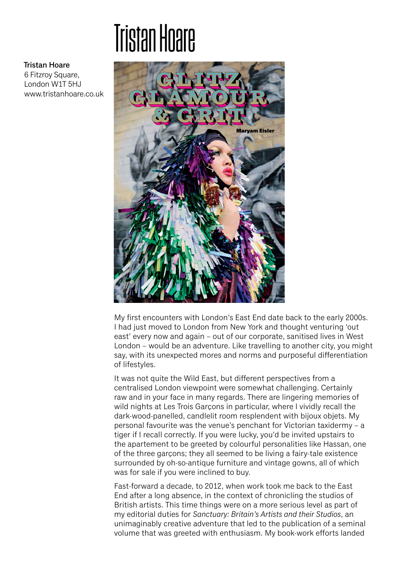## **Tristan Hoare**



6 Fitzroy Square, London W1T 5HJ www.tristanhoare.co.uk



My first encounters with London's East End date back to the early 2000s. I had just moved to London from New York and thought venturing 'out east' every now and again – out of our corporate, sanitised lives in West London – would be an adventure. Like travelling to another city, you might say, with its unexpected mores and norms and purposeful differentiation of lifestyles.

It was not quite the Wild East, but different perspectives from a centralised London viewpoint were somewhat challenging. Certainly raw and in your face in many regards. There are lingering memories of wild nights at Les Trois Garcons in particular, where I vividly recall the dark-wood-panelled, candlelit room resplendent with bijoux objets. My personal favourite was the venue's penchant for Victorian taxidermy – a tiger if I recall correctly. If you were lucky, you'd be invited upstairs to the apartement to be greeted by colourful personalities like Hassan, one of the three garçons; they all seemed to be living a fairy-tale existence surrounded by oh-so-antique furniture and vintage gowns, all of which was for sale if you were inclined to buy.

Fast-forward a decade, to 2012, when work took me back to the East End after a long absence, in the context of chronicling the studios of British artists. This time things were on a more serious level as part of my editorial duties for *Sanctuary: Britain's Artists and their Studios*, an unimaginably creative adventure that led to the publication of a seminal volume that was greeted with enthusiasm. My book-work efforts landed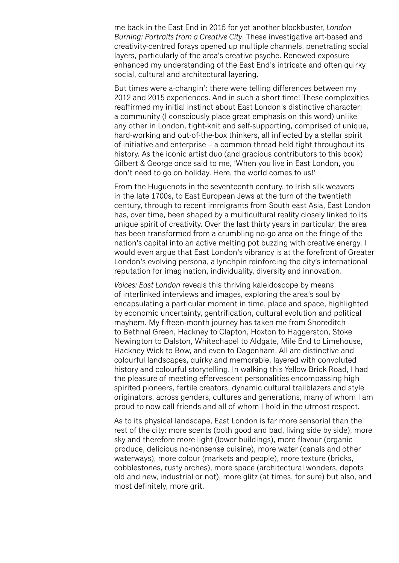me back in the East End in 2015 for yet another blockbuster, *London Burning: Portraits from a Creative City*. These investigative art-based and creativity-centred forays opened up multiple channels, penetrating social layers, particularly of the area's creative psyche. Renewed exposure enhanced my understanding of the East End's intricate and often quirky social, cultural and architectural layering.

But times were a-changin': there were telling differences between my 2012 and 2015 experiences. And in such a short time! These complexities reaffirmed my initial instinct about East London's distinctive character: a community (I consciously place great emphasis on this word) unlike any other in London, tight-knit and self-supporting, comprised of unique, hard-working and out-of-the-box thinkers, all inflected by a stellar spirit of initiative and enterprise – a common thread held tight throughout its history. As the iconic artist duo (and gracious contributors to this book) Gilbert & George once said to me, 'When you live in East London, you don't need to go on holiday. Here, the world comes to us!'

From the Huguenots in the seventeenth century, to Irish silk weavers in the late 1700s, to East European Jews at the turn of the twentieth century, through to recent immigrants from South-east Asia, East London has, over time, been shaped by a multicultural reality closely linked to its unique spirit of creativity. Over the last thirty years in particular, the area has been transformed from a crumbling no-go area on the fringe of the nation's capital into an active melting pot buzzing with creative energy. I would even argue that East London's vibrancy is at the forefront of Greater London's evolving persona, a lynchpin reinforcing the city's international reputation for imagination, individuality, diversity and innovation.

*Voices: East London* reveals this thriving kaleidoscope by means of interlinked interviews and images, exploring the area's soul by encapsulating a particular moment in time, place and space, highlighted by economic uncertainty, gentrification, cultural evolution and political mayhem. My fifteen-month journey has taken me from Shoreditch to Bethnal Green, Hackney to Clapton, Hoxton to Haggerston, Stoke Newington to Dalston, Whitechapel to Aldgate, Mile End to Limehouse, Hackney Wick to Bow, and even to Dagenham. All are distinctive and colourful landscapes, quirky and memorable, layered with convoluted history and colourful storytelling. In walking this Yellow Brick Road, I had the pleasure of meeting effervescent personalities encompassing highspirited pioneers, fertile creators, dynamic cultural trailblazers and style originators, across genders, cultures and generations, many of whom I am proud to now call friends and all of whom I hold in the utmost respect.

As to its physical landscape, East London is far more sensorial than the rest of the city: more scents (both good and bad, living side by side), more sky and therefore more light (lower buildings), more flavour (organic produce, delicious no-nonsense cuisine), more water (canals and other waterways), more colour (markets and people), more texture (bricks, cobblestones, rusty arches), more space (architectural wonders, depots old and new, industrial or not), more glitz (at times, for sure) but also, and most definitely, more grit.